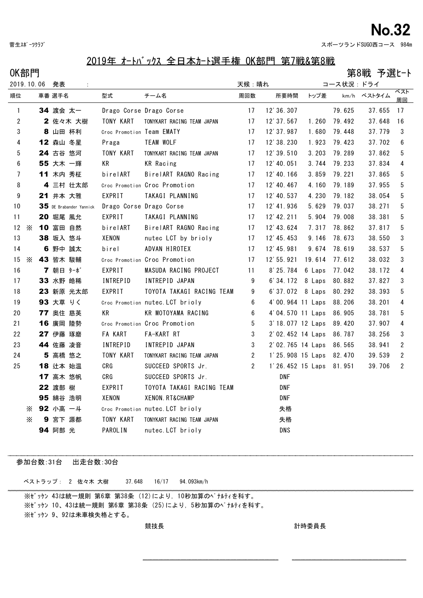## - 菅生スポーツクラブ いっぷん いっぷん いっぷん いっぷん こうしゃ いっぷん こうしゅう こうしゅう スポーツランドSUGO西コース 984m

## 2019年 オートバックス 全日本カート選手権 OK部門 第7戦&第8戦

 $OK部門$  2000年 - 2000年 - 2000年 - 2000年 - 2000年 - 2000年 - 2000年 - 2000年 - 2000年 - 2000年 - 2000年 - 2000年 - 2000年 - 2000年 - 2000年 - 2000年 - 2000年 - 2000年 - 2000年 - 2000年 - 2000年 - 2000年 - 2000年 - 2000年 - 2000年 - 2000年 - 2000年

| 2019.10.06      |          |  | 発表       | $\sim 10$               |                           |                                  |                 | 天候:晴れ                   | コース状況:ドライ |        |             |                       |
|-----------------|----------|--|----------|-------------------------|---------------------------|----------------------------------|-----------------|-------------------------|-----------|--------|-------------|-----------------------|
| 順位              |          |  | 車番 選手名   |                         | 型式                        | チーム名                             | 周回数             | 所要時間                    | トップ差      |        | km/h ベストタイム | ベスト<br>周回             |
| $\mathbf{1}$    |          |  | 34 渡会 太一 |                         | Drago Corse Drago Corse   |                                  | 17              | 12' 36. 307             |           | 79.625 | 37.655      | 17                    |
| 2               |          |  |          | 2 佐々木 大樹                | TONY KART                 | TONYKART RACING TEAM JAPAN       | 17              | 12' 37.567              | 1.260     | 79.492 | 37.648      | 16                    |
| 3               |          |  | 8 山田 杯利  |                         | Croc Promotion Team EMATY |                                  | 17              | 12' 37.987              | 1.680     | 79.448 | 37.779      | 3                     |
| 4               |          |  | 12 森山 冬星 |                         | Praga                     | <b>TEAM WOLF</b>                 | 17              | 12' 38.230              | 1.923     | 79.423 | 37.702      | 6                     |
| 5               |          |  | 24 古谷 悠河 |                         | TONY KART                 | TONYKART RACING TEAM JAPAN       | 17              | 12' 39.510              | 3.203     | 79.289 | 37.862      | 5                     |
| 6               |          |  | 55 大木 一輝 |                         | KR                        | <b>KR</b> Racing                 | 17              | 12' 40.051              | 3.744     | 79.233 | 37.834      | 4                     |
| $7\overline{ }$ |          |  | 11 木内 秀柾 |                         | birelART                  | BirelART RAGNO Racing            | 17              | 12' 40.166              | 3.859     | 79.221 | 37.865      | 5                     |
| 8               |          |  |          | 4 三村 壮太郎                |                           | Croc Promotion Croc Promotion    | 17              | 12' 40.467              | 4.160     | 79.189 | 37.955      | 5                     |
| 9               |          |  | 21 井本 大雅 |                         | EXPRIT                    | TAKAGI PLANNING                  | 17              | 12' 40.537              | 4.230     | 79.182 | 38.054      | 5                     |
| 10              |          |  |          | 35 DE Brabander Yannick | Drago Corse Drago Corse   |                                  | 17              | 12' 41.936              | 5.629     | 79.037 | 38.271      | 5                     |
| 11              |          |  | 20 堀尾 風允 |                         | EXPRIT                    | TAKAGI PLANNING                  | 17              | 12' 42. 211             | 5.904     | 79.008 | 38.381      | 5                     |
| 12              | X        |  | 10 富田 自然 |                         | birelART                  | BirelART RAGNO Racing            | 17              | 12' 43.624              | 7.317     | 78.862 | 37.817      | 5                     |
| 13              |          |  | 38 坂入 悠斗 |                         | XENON                     | nutec LCT by brioly              | 17              | 12' 45. 453             | 9.146     | 78.673 | 38.550      | 3                     |
| 14              |          |  | 6 野中 誠太  |                         | birel                     | ADVAN HIROTEX                    | 17              | 12' 45.981              | 9.674     | 78.619 | 38.537      | 5                     |
| 15              | $\times$ |  | 43 皆木 駿輔 |                         |                           | Croc Promotion Croc Promotion    | 17              | 12' 55.921              | 19.614    | 77.612 | 38.032      | 3                     |
| 16              |          |  | 7 朝日 ターボ |                         | EXPRIT                    | MASUDA RACING PROJECT            | 11              | $8'$ 25.784             | 6 Laps    | 77.042 | 38.172      | 4                     |
| 17              |          |  | 33 水野 皓稀 |                         | <b>INTREPID</b>           | INTREPID JAPAN                   | 9               | 6'34.172 8 Laps         |           | 80.882 | 37.827      | 3                     |
| 18              |          |  |          | 23 新原 光太郎               | EXPRIT                    | TOYOTA TAKAGI RACING TEAM        | $9\,$           | 6'37.072 8 Laps         |           | 80.292 | 38.393      | 5                     |
| 19              |          |  | 93 大草 りく |                         |                           | Croc Promotion nutec. LCT brioly | $6\phantom{.0}$ | 4'00.964 11 Laps        |           | 88.206 | 38.201      | 4                     |
| 20              |          |  | 77 奥住 慈英 |                         | КR                        | KR MOTOYAMA RACING               | $6\phantom{.0}$ | 4'04.570 11 Laps        |           | 86.905 | 38.781      | 5                     |
| 21              |          |  | 16 廣岡 陸勢 |                         |                           | Croc Promotion Croc Promotion    | 5               | 3' 18.077 12 Laps       |           | 89.420 | 37.907      | 4                     |
| 22              |          |  | 27 伊藤 琢磨 |                         | <b>FA KART</b>            | FA-KART RT                       | 3               | 2'02.452 14 Laps        |           | 86.787 | 38.256      | 3                     |
| 23              |          |  | 44 佐藤 凌音 |                         | <b>INTREPID</b>           | INTREPID JAPAN                   | 3               | 2'02.765 14 Laps        |           | 86.565 | 38.941      | 2                     |
| 24              |          |  | 5 高橋 悠之  |                         | TONY KART                 | TONYKART RACING TEAM JAPAN       | $2^{\circ}$     | 1'25.908 15 Laps        |           | 82.470 | 39.539      | $\mathbf{2}^{\prime}$ |
| 25              |          |  | 18 辻本 始温 |                         | CRG                       | SUCCEED SPORTS Jr.               | $\overline{2}$  | 1'26.452 15 Laps 81.951 |           |        | 39.706      | $\mathbf{2}^{\prime}$ |
|                 |          |  | 17 高木 悠帆 |                         | CRG                       | SUCCEED SPORTS Jr.               |                 | <b>DNF</b>              |           |        |             |                       |
|                 |          |  | 22 渡部 樹  |                         | EXPRIT                    | TOYOTA TAKAGI RACING TEAM        |                 | <b>DNF</b>              |           |        |             |                       |
|                 |          |  | 95 綿谷 浩明 |                         | XENON                     | XENON. RT&CHAMP                  |                 | <b>DNF</b>              |           |        |             |                       |
|                 | $\times$ |  | 92 小高 一斗 |                         |                           | Croc Promotion nutec. LCT brioly |                 | 失格                      |           |        |             |                       |
|                 | X        |  | 9 宮下 源都  |                         | TONY KART                 | TONYKART RACING TEAM JAPAN       |                 | 失格                      |           |        |             |                       |
|                 |          |  | 94 阿部 光  |                         | PAROLIN                   | nutec. LCT brioly                |                 | <b>DNS</b>              |           |        |             |                       |

参加台数:31台 出走台数:30台

※ゼッケン 43は統一規則 第6章 第38条 (12)により,10秒加算のペナルティを科す。 ※ゼッケン 10、43は統一規則 第6章 第38条 (25)により,5秒加算のペナルティを科す。 ※ゼッケン 9、92は未車検失格とする。 ベストラップ: 2 佐々木 大樹 37.648 16/17 94.093km/h

競技長 計時委員長